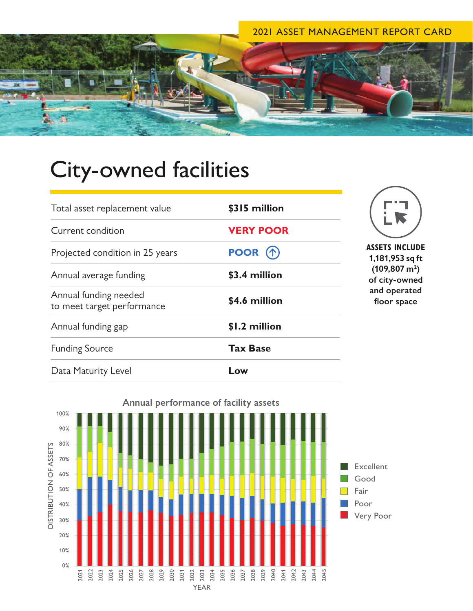## 2021 ASSET MANAGEMENT REPORT CARD



## City-owned facilities

| Total asset replacement value                       | \$315 million    |                        |
|-----------------------------------------------------|------------------|------------------------|
| Current condition                                   | <b>VERY POOR</b> |                        |
| Projected condition in 25 years                     | POOR (1)         | <b>ASSETS</b><br>1,181 |
| Annual average funding                              | \$3.4 million    | (109,<br>of cit        |
| Annual funding needed<br>to meet target performance | \$4.6 million    | and c<br>floo          |
| Annual funding gap                                  | \$1.2 million    |                        |
| <b>Funding Source</b>                               | <b>Tax Base</b>  |                        |
| Data Maturity Level                                 | Low              |                        |



**S INCLUDE 1,181,953 sq ft (109,807 m<sup>2</sup> ) of city-owned and operated floor space**